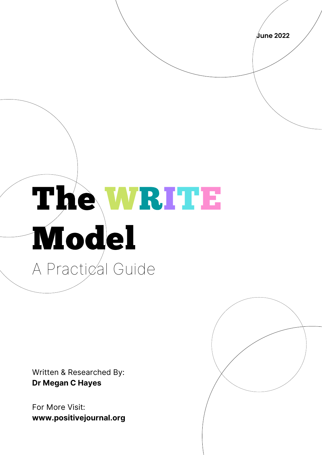**June 2022**

## The WRITE Model A Practical Guide

Written & Researched By: **Dr Megan C Hayes**

For More Visit: **www.positivejournal.org**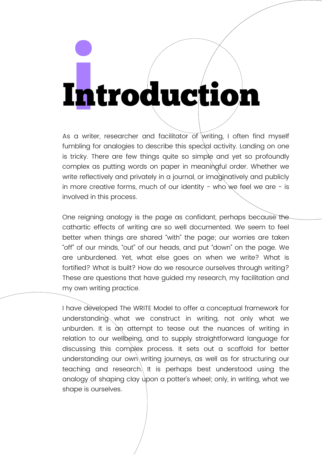## I**i**ntroduction

As a writer, researcher and facilitator of writing, I often find myself fumbling for analogies to describe this special activity. Landing on one is tricky. There are few things quite so simple and yet so profoundly complex as putting words on paper in meaningful order. Whether we write reflectively and privately in a journal, or imaginatively and publicly in more creative forms, much of our identity - who we feel we are  $-$  is involved in this process.

One reigning analogy is the page as confidant, perhaps because the cathartic effects of writing are so well documented. We seem to feel better when things are shared "with" the page; our worries are taken "off" of our minds, "out" of our heads, and put "down" on the page. We are unburdened. Yet, what else goes on when we write? What is fortified? What is built? How do we resource ourselves through writing? These are questions that have guided my research, my facilitation and my own writing practice.

I have developed The WRITE Model to offer a conceptual framework for understanding what we construct in writing, not only what we unburden. It is an attempt to tease out the nuances of writing in relation to our wellbeing, and to supply straightforward language for discussing this complex process. It sets out a scaffold for better understanding our own writing journeys, as well as for structuring our teaching and research. It is perhaps best understood using the analogy of shaping clay upon a potter's wheel; only, in writing, what we shape is ourselves.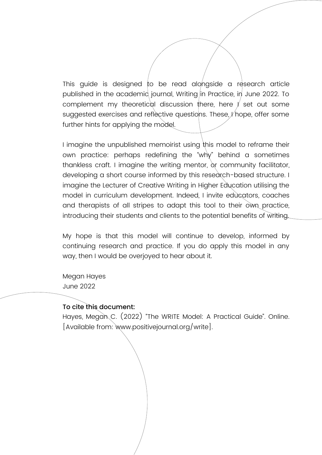This guide is designed to be read alongside a research article published in the academic journal, Writing in Practice, in June 2022. To complement my theoretical discussion there, here  $\ell$  set out some suggested exercises and reflective questions. These, *I* hope, offer some further hints for applying the model.

I imagine the unpublished memoirist using this model to reframe their own practice: perhaps redefining the "why" behind a sometimes thankless craft. I imagine the writing mentor, or community facilitator, developing a short course informed by this research-based structure. I imagine the Lecturer of Creative Writing in Higher Education utilising the model in curriculum development. Indeed, I invite educators, coaches and therapists of all stripes to adapt this tool to their own practice, introducing their students and clients to the potential benefits of writing.

My hope is that this model will continue to develop, informed by continuing research and practice. If you do apply this model in any way, then I would be overjoyed to hear about it.

Megan Hayes June 2022

#### To cite this document:

Hayes, Megan C. (2022) "The WRITE Model: A Practical Guide". Online. [Available from: www.positivejournal.org/write].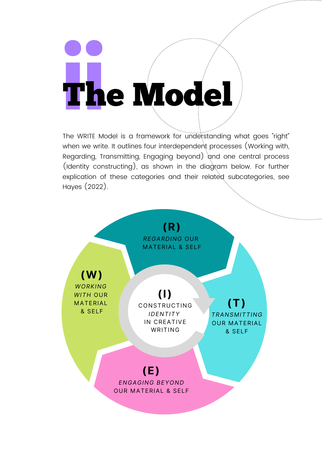# **i**T**i**he Model

The WRITE Model is a framework for understanding what goes "right" when we write. It outlines four interdependent processes (Working with, Regarding, Transmitting, Engaging beyond) and one central process (Identity constructing), as shown in the diagram below. For further explication of these categories and their related subcategories, see Hayes (2022).

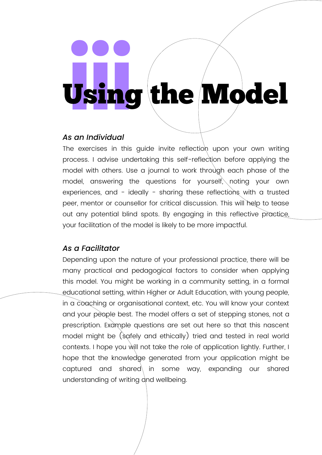# <sup>U</sup>**i**s**i**in**i**<sup>g</sup> the Model

#### *As an Individual*

The exercises in this guide invite reflection upon your own writing process. I advise undertaking this self-reflection before applying the model with others. Use a journal to work through each phase of the model, answering the questions for yourself, noting your own experiences, and - ideally - sharing these reflections with a trusted peer, mentor or counsellor for critical discussion. This will help to tease out any potential blind spots. By engaging in this reflective practice, your facilitation of the model is likely to be more impactful.

#### *As a Facilitator*

Depending upon the nature of your professional practice, there will be many practical and pedagogical factors to consider when applying this model. You might be working in a community setting, in a formal educational setting, within Higher or Adult Education, with young people, in a coaching or organisational context, etc. You will know your context and your people best. The model offers a set of stepping stones, not a prescription. Example questions are set out here so that this nascent model might be (safely and ethically) tried and tested in real world contexts. I hope you will not take the role of application lightly. Further, I hope that the knowledge generated from your application might be captured and shared in some way, expanding our shared understanding of writing and wellbeing.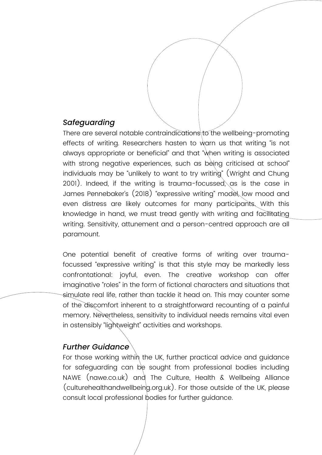#### *Safeguarding*

There are several notable contraindications to the wellbeing-promoting effects of writing. Researchers hasten to warn us that writing "is not always appropriate or beneficial" and that "when writing is associated with strong negative experiences, such as being criticised at school" individuals may be "unlikely to want to try writing" (Wright and Chung 2001). Indeed, if the writing is trauma-focussed, as is the case in James Pennebaker's (2018) "expressive writing" model, low mood and even distress are likely outcomes for many participants. With this knowledge in hand, we must tread gently with writing and facilitating writing. Sensitivity, attunement and a person-centred approach are all paramount.

One potential benefit of creative forms of writing over traumafocussed "expressive writing" is that this style may be markedly less confrontational: joyful, even. The creative workshop can offer imaginative "roles" in the form of fictional characters and situations that simulate real life, rather than tackle it head on. This may counter some of the discomfort inherent to a straightforward recounting of a painful memory. Nevertheless, sensitivity to individual needs remains vital even in ostensibly "lightweight" activities and workshops.

#### *Further Guidance*

For those working within the UK, further practical advice and quidance for safeguarding can be sought from professional bodies including NAWE (nawe.co.uk) and The Culture, Health & Wellbeing Alliance (culturehealthandwellbeing.org.uk). For those outside of the UK, please consult local professional bodies for further guidance.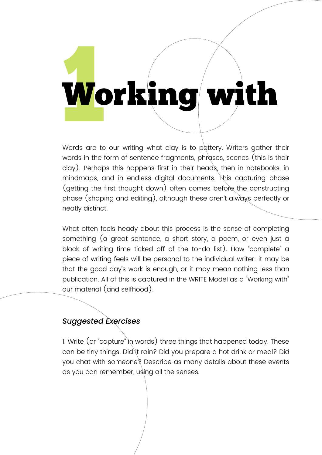# **1**Working with

Words are to our writing what clay is to pottery. Writers gather their words in the form of sentence fragments, phrases, scenes (this is their clay). Perhaps this happens first in their heads, then in notebooks, in mindmaps, and in endless digital documents. This capturing phase (getting the first thought down) often comes before the constructing phase (shaping and editing), although these aren't always perfectly or neatly distinct.

What often feels heady about this process is the sense of completing something (a great sentence, a short story, a poem, or even just a block of writing time ticked off of the to-do list). How "complete" a piece of writing feels will be personal to the individual writer: it may be that the good day's work is enough, or it may mean nothing less than publication. All of this is captured in the WRITE Model as a "Working with" our material (and selfhood).

#### *Suggested Exercises*

1. Write (or "capture" in words) three things that happened today. These can be tiny things. Did it rain? Did you prepare a hot drink or meal? Did you chat with someone? Describe as many details about these events as you can remember, using all the senses.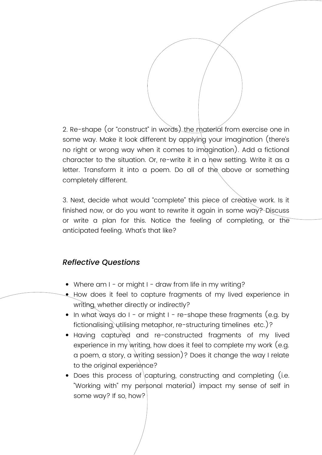2. Re-shape (or "construct" in words) the material from exercise one in some way. Make it look different by applying your imagination (there's no right or wrong way when it comes to imagination). Add a fictional character to the situation. Or, re-write it in a hew setting. Write it as a letter. Transform it into a poem. Do all of the above or something completely different.

3. Next, decide what would "complete" this piece of creative work. Is it finished now, or do you want to rewrite it again in some way? Discuss or write a plan for this. Notice the feeling of completing, or the anticipated feeling. What's that like?

- Where am I or might I draw from life in my writing?
- **•** How does it feel to capture fragments of my lived experience in writing, whether directly or indirectly?
- In what ways do I or might I re-shape these fragments (e.g. by fictionalising, utilising metaphor, re-structuring timelines etc.)?
- Having captured and re-constructed fragments of my lived experience in my writing, how does it feel to complete my work (e.g. a poem, a story, a writing session)? Does it change the way I relate to the original experience?
- Does this process of capturing, constructing and completing (i.e. "Working with" my personal material) impact my sense of self in some way? If so, how?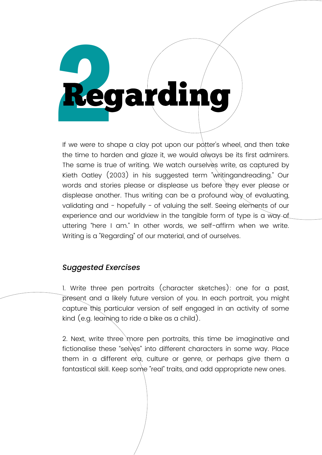# **Regarding**

If we were to shape a clay pot upon our potter's wheel, and then take the time to harden and glaze it, we would always be its first admirers. The same is true of writing. We watch ourselves write, as captured by Kieth Oatley (2003) in his suggested term "writingandreading." Our words and stories please or displease us before they ever please or displease another. Thus writing can be a profound way of evaluating, validating and - hopefully - of valuing the self. Seeing elements of our experience and our worldview in the tangible form of type is a way of uttering "here I am." In other words, we self-affirm when we write. Writing is a "Regarding" of our material, and of ourselves.

#### *Suggested Exercises*

1. Write three pen portraits (character sketches): one for a past, present and a likely future version of you. In each portrait, you might capture this particular version of self engaged in an activity of some kind (e.g. learning to ride a bike as a child).

2. Next, write three more pen portraits, this time be imaginative and fictionalise these "selves" into different characters in some way. Place them in a different erg, culture or genre, or perhaps give them a fantastical skill. Keep some "real" traits, and add appropriate new ones.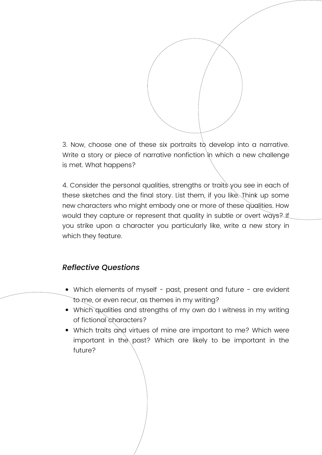3. Now, choose one of these six portraits to develop into a narrative. Write a story or piece of narrative nonfiction in which a new challenge is met. What happens?

4. Consider the personal qualities, strengths or traits you see in each of these sketches and the final story. List them, if you like. Think up some new characters who might embody one or more of these qualities. How would they capture or represent that quality in subtle or overt ways? If you strike upon a character you particularly like, write a new story in which they feature.

- Which elements of myself past, present and future are evident to me, or even recur, as themes in my writing?
- Which qualities and strengths of my own do I witness in my writing of fictional characters?
- Which traits and virtues of mine are important to me? Which were important in the past? Which are likely to be important in the future?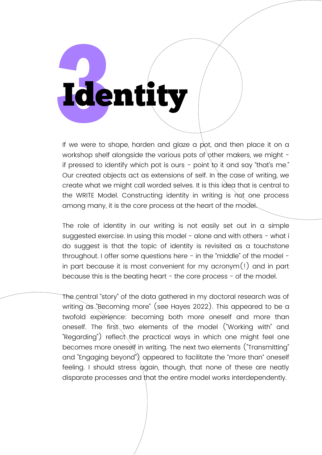# **3**Identity

If we were to shape, harden and glaze a pot, and then place it on a workshop shelf alongside the various pots of other makers, we might if pressed to identify which pot is ours - point to it and say "that's me." Our created objects act as extensions of self. In the case of writing, we create what we might call worded selves. It is this idea that is central to the WRITE Model. Constructing identity in writing is not one process among many, it is the core process at the heart of the model.

The role of identity in our writing is not easily set out in a simple suggested exercise. In using this model - alone and with others - what i do suggest is that the topic of identity is revisited as a touchstone throughout. I offer some questions here - in the "middle" of the model in part because it is most convenient for my acronym(!) and in part because this is the beating heart - the core process - of the model.

The central "story" of the data gathered in my doctoral research was of writing as "Becoming more" (see Hayes 2022). This appeared to be a twofold experience: becoming both more oneself and more than oneself. The first two elements of the model ("Working with" and "Regarding") reflect the practical ways in which one might feel one becomes more oneself in writing. The next two elements ("Transmitting" and "Engaging beyond") appeared to facilitate the "more than" oneself feeling. I should stress again, though, that none of these are neatly disparate processes and that the entire model works interdependently.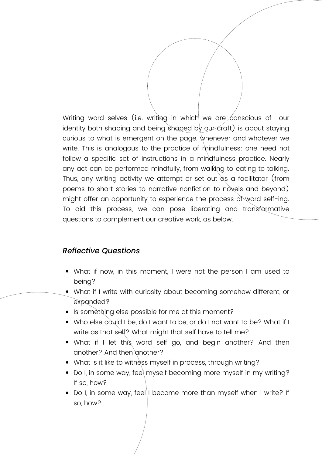Writing word selves (i.e. writing in which we are conscious of our identity both shaping and being shaped by our craft) is about staying curious to what is emergent on the page, whenever and whatever we write. This is analogous to the practice of mindfulness: one need not follow a specific set of instructions in a mindfulness practice. Nearly any act can be performed mindfully, from walking to eating to talking. Thus, any writing activity we attempt or set out as a facilitator (from poems to short stories to narrative nonfiction to novels and beyond) might offer an opportunity to experience the process of word self-ing. To aid this process, we can pose liberating and transformative questions to complement our creative work, as below.

- What if now, in this moment, I were not the person I am used to being?
- What if I write with curiosity about becoming somehow different, or expanded?
- Is something else possible for me at this moment?
- Who else could I be, do I want to be, or do I not want to be? What if I write as that self? What might that self have to tell me?
- What if I let this word self go, and begin another? And then another? And then another?
- What is it like to witness myself in process, through writing?
- Do I, in some way, feel myself becoming more myself in my writing? If so, how?
- Do I, in some way, feel|I become more than myself when I write? If so, how?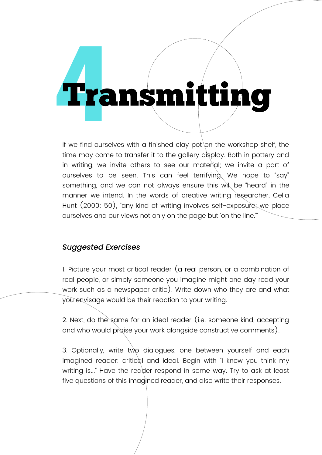## **4**Transmitting

If we find ourselves with a finished clay pot on the workshop shelf, the time may come to transfer it to the gallery display. Both in pottery and in writing, we invite others to see our material; we invite a part of ourselves to be seen. This can feel terrifying. We hope to "say" something, and we can not always ensure this will be "heard" in the manner we intend. In the words of creative writing researcher, Celia Hunt (2000: 50), "any kind of writing involves self-exposure; we place ourselves and our views not only on the page but 'on the line.'"

#### *Suggested Exercises*

1. Picture your most critical reader (a real person, or a combination of real people, or simply someone you imagine might one day read your work such as a newspaper critic). Write down who they are and what you envisage would be their reaction to your writing.

2. Next, do the same for an ideal reader (i.e. someone kind, accepting and who would praise your work alongside constructive comments).

3. Optionally, write two dialogues, one between yourself and each imagined reader: critical and ideal. Begin with "I know you think my writing is..." Have the reader respond in some way. Try to ask at least five questions of this imagined reader, and also write their responses.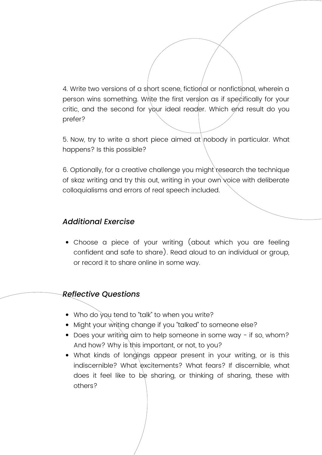4. Write two versions of a short scene, fictional or nonfictional, wherein a person wins something. Write the first version as if specifically for your critic, and the second for your ideal reader. Which end result do you prefer?

5. Now, try to write a short piece aimed at nobody in particular. What happens? Is this possible?

6. Optionally, for a creative challenge you might research the technique of skaz writing and try this out, writing in your own voice with deliberate colloquialisms and errors of real speech included.

#### *Additional Exercise*

Choose a piece of your writing (about which you are feeling confident and safe to share). Read aloud to an individual or group, or record it to share online in some way.

- Who do you tend to "talk" to when you write?
- Might your writing change if you "talked" to someone else?
- Does your writing aim to help someone in some way if so, whom? And how? Why is this important, or not, to you?
- What kinds of longings appear present in your writing, or is this indiscernible? What excitements? What fears? If discernible, what does it feel like to be sharing, or thinking of sharing, these with others?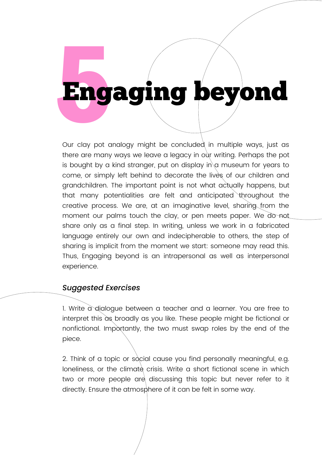### **5**Engaging beyond

Our clay pot analogy might be concluded in multiple ways, just as there are many ways we leave a legacy in our writing. Perhaps the pot is bought by a kind stranger, put on display in  $\alpha$  museum for years to come, or simply left behind to decorate the lives of our children and grandchildren. The important point is not what actually happens, but that many potentialities are felt and anticipated throughout the creative process. We are, at an imaginative level, sharing from the moment our palms touch the clay, or pen meets paper. We do not share only as a final step. In writing, unless we work in a fabricated language entirely our own and indecipherable to others, the step of sharing is implicit from the moment we start: someone may read this. Thus, Engaging beyond is an intrapersonal as well as interpersonal experience.

#### *Suggested Exercises*

1. Write a dialogue between a teacher and a learner. You are free to interpret this as broadly as you like. These people might be fictional or nonfictional. Importantly, the two must swap roles by the end of the piece.

2. Think of a topic or social cause you find personally meaningful, e.g. loneliness, or the climate crisis. Write a short fictional scene in which two or more people are discussing this topic but never refer to it directly. Ensure the atmosphere of it can be felt in some way.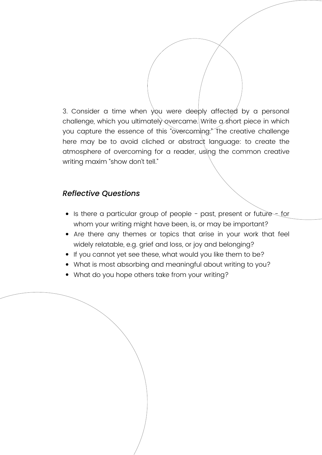3. Consider a time when you were deeply affected by a personal challenge, which you ultimately overcame. Write a short piece in which you capture the essence of this "overcoming." The creative challenge here may be to avoid cliched or abstract language: to create the atmosphere of overcoming for a reader, using the common creative writing maxim "show don't tell."

- Is there a particular group of people past, present or future for whom your writing might have been, is, or may be important?
- Are there any themes or topics that arise in your work that feel widely relatable, e.g. grief and loss, or joy and belonging?
- If you cannot yet see these, what would you like them to be?
- What is most absorbing and meaningful about writing to you?
- What do you hope others take from your writing?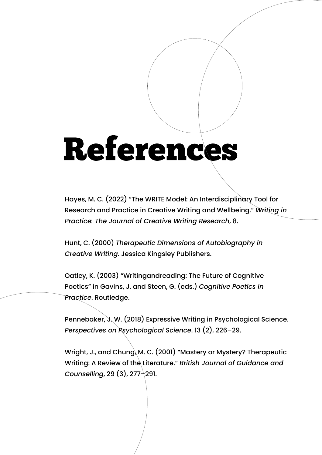## References

Hayes, M. C. (2022) "The WRITE Model: An Interdisciplinary Tool for Research and Practice in Creative Writing and Wellbeing." *Writing in Practice: The Journal of Creative Writing Research*, 8.

Hunt, C. (2000) *Therapeutic Dimensions of Autobiography in Creative Writing*. Jessica Kingsley Publishers.

Oatley, K. (2003) "Writingandreading: The Future of Cognitive Poetics" in Gavins, J. and Steen, G. (eds.) *Cognitive Poetics in Practice*. Routledge.

Pennebaker, J. W. (2018) Expressive Writing in Psychological Science. *Perspectives on Psychological Science*. 13 (2), 226–29.

Wright, J., and Chung, M. C. (2001) "Mastery or Mystery? Therapeutic Writing: A Review of the Literature." British Journal of Guidance and *Counselling*, 29 (3), 277–291.